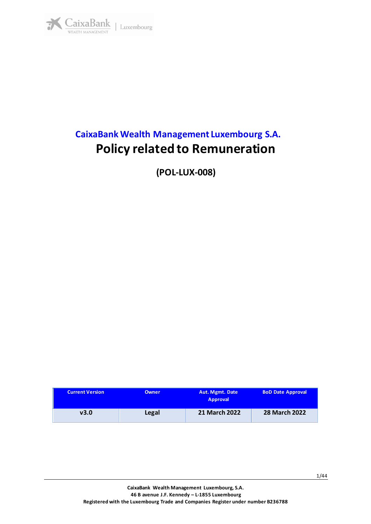

# **CaixaBank Wealth Management Luxembourg S.A. Policy related to Remuneration**

**(POL-LUX-008)**

| <b>Current Version</b> | <b>Owner</b> | <b>Aut. Mgmt. Date</b><br><b>Approval</b> | <b>BoD Date Approval</b> |
|------------------------|--------------|-------------------------------------------|--------------------------|
| v3.0                   | Legal        | <b>21 March 2022</b>                      | <b>28 March 2022</b>     |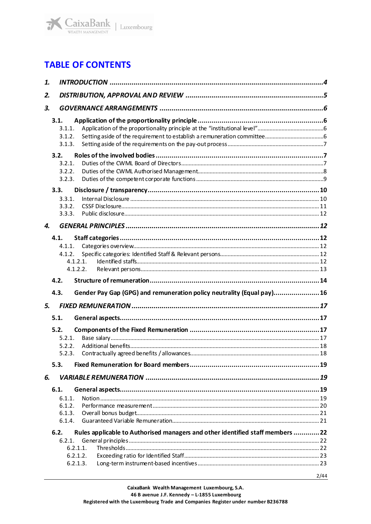

## **TABLE OF CONTENTS**

| 1. |                                                                                                                         |      |  |  |
|----|-------------------------------------------------------------------------------------------------------------------------|------|--|--|
| 2. |                                                                                                                         |      |  |  |
| 3. |                                                                                                                         |      |  |  |
|    | 3.1.<br>3.1.1.<br>3.1.2.<br>3.1.3.                                                                                      |      |  |  |
|    | 3.2.<br>3.2.1.<br>3.2.2.<br>3.2.3.                                                                                      |      |  |  |
|    | 3.3.<br>3.3.1.<br>3.3.2.<br>3.3.3.                                                                                      |      |  |  |
| 4. |                                                                                                                         |      |  |  |
|    | 4.1.<br>4.1.1.<br>4.1.2.<br>4.1.2.1.<br>4.1.2.2.                                                                        |      |  |  |
|    | 4.2.                                                                                                                    |      |  |  |
|    | Gender Pay Gap (GPG) and remuneration policy neutrality (Equal pay)16<br>4.3.                                           |      |  |  |
| 5. |                                                                                                                         |      |  |  |
|    | 5.1.<br>5.2.<br>5.2.1.<br>5.2.2.<br>5.2.3.<br>5.3.                                                                      |      |  |  |
| 6. |                                                                                                                         |      |  |  |
|    | 6.1.<br>6.1.1.<br>6.1.2.<br>6.1.3.<br>6.1.4.                                                                            |      |  |  |
|    | Rules applicable to Authorised managers and other identified staff members 22<br>6.2.<br>6.2.1.<br>6.2.1.1.<br>6.2.1.2. |      |  |  |
|    | 6.2.1.3.                                                                                                                |      |  |  |
|    |                                                                                                                         | 2/44 |  |  |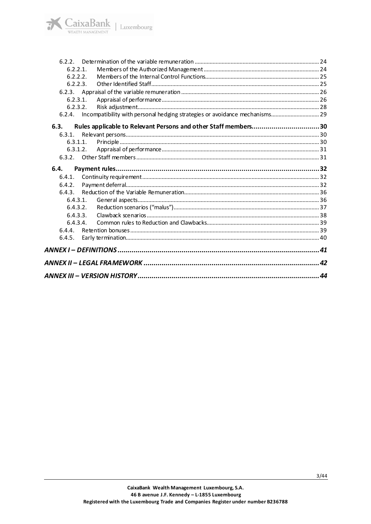| 6.2.2.      |                                                                                 |  |
|-------------|---------------------------------------------------------------------------------|--|
| $6.2.2.1$ . |                                                                                 |  |
| 6.2.2.2.    |                                                                                 |  |
| 6.2.2.3.    |                                                                                 |  |
|             |                                                                                 |  |
| 6.2.3.1.    |                                                                                 |  |
| 6.2.3.2.    |                                                                                 |  |
|             | 6.2.4. Incompatibility with personal hedging strategies or avoidance mechanisms |  |
| 6.3.        | Rules applicable to Relevant Persons and other Staff members30                  |  |
| 6.3.1.      |                                                                                 |  |
| 6.3.1.1.    |                                                                                 |  |
| 6.3.1.2.    |                                                                                 |  |
|             |                                                                                 |  |
| 6.4.        |                                                                                 |  |
| 6.4.1.      |                                                                                 |  |
|             |                                                                                 |  |
| 6.4.2.      |                                                                                 |  |
| 643         |                                                                                 |  |
| 6.4.3.1.    |                                                                                 |  |
| 6.4.3.2.    |                                                                                 |  |
| 6.4.3.3.    |                                                                                 |  |
| 6.4.3.4     |                                                                                 |  |
|             |                                                                                 |  |
| 6.4.5.      |                                                                                 |  |
|             |                                                                                 |  |
|             |                                                                                 |  |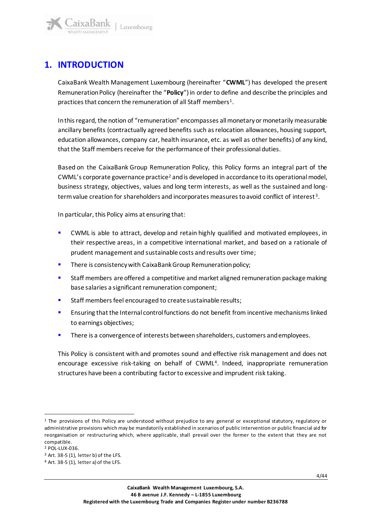

## <span id="page-3-0"></span>**1. INTRODUCTION**

aixaBank

CaixaBank Wealth Management Luxembourg (hereinafter "**CWML**") has developed the present Remuneration Policy (hereinafter the "**Policy**") in order to define and describe the principles and practices that concern the remuneration of all Staff members<sup>1</sup>.

In thisregard, the notion of "remuneration" encompasses all monetary or monetarily measurable ancillary benefits (contractually agreed benefits such as relocation allowances, housing support, education allowances, company car, health insurance, etc. as well as other benefits) of any kind, that the Staff members receive for the performance of their professional duties.

Based on the CaixaBank Group Remuneration Policy, this Policy forms an integral part of the CWML's corporate governance practice<sup>2</sup> and is developed in accordance to its operational model, business strategy, objectives, values and long term interests, as well as the sustained and longterm value creation for shareholders and incorporates measures to avoid conflict of interest <sup>3</sup> .

In particular, this Policy aims at ensuring that:

- CWML is able to attract, develop and retain highly qualified and motivated employees, in their respective areas, in a competitive international market, and based on a rationale of prudent management and sustainable costs and results over time;
- There is consistency with CaixaBank Group Remuneration policy;
- Staff members are offered a competitive and market aligned remuneration package making base salaries a significant remuneration component;
- Staff members feel encouraged to create sustainable results;
- Ensuring that the Internal control functions do not benefit from incentive mechanisms linked to earnings objectives;
- There is a convergence of interests between shareholders, customers and employees.

This Policy is consistent with and promotes sound and effective risk management and does not encourage excessive risk-taking on behalf of CWML<sup>4</sup>. Indeed, inappropriate remuneration structures have been a contributing factor to excessive and imprudent risk taking.

<sup>1</sup> The provisions of this Policy are understood without prejudice to any general or exceptional statutory, regulatory or administrative provisions which may be mandatorily established in scenarios of public intervention or public financial aid for reorganisation or restructuring which, where applicable, shall prevail over the former to the extent that they are not compatible.

<sup>2</sup> POL-LUX-036.

 $3$  Art. 38-5 (1), letter b) of the LFS.

<sup>4</sup> Art. 38-5 (1), letter a) of the LFS.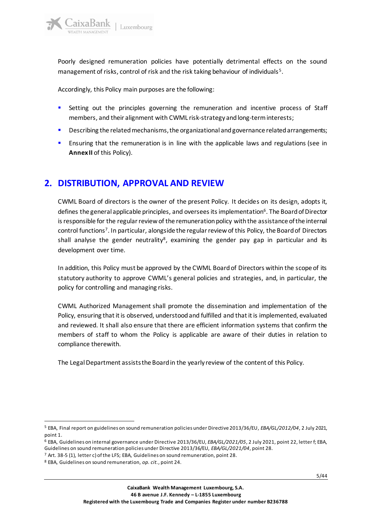Poorly designed remuneration policies have potentially detrimental effects on the sound management of risks, control of risk and the risk taking behaviour of individuals<sup>5</sup>.

Accordingly, this Policy main purposes are the following:

- Setting out the principles governing the remuneration and incentive process of Staff members, and their alignment with CWML risk-strategy and long-term interests;
- Describing the related mechanisms, the organizational and governance related arrangements;
- Ensuring that the remuneration is in line with the applicable laws and regulations (see in **Annex II** of this Policy).

## <span id="page-4-0"></span>**2. DISTRIBUTION, APPROVAL AND REVIEW**

CWML Board of directors is the owner of the present Policy. It decides on its design, adopts it, defines the general applicable principles, and oversees its implementation<sup>6</sup>. The Board of Director is responsible for the regular review of the remuneration policy with the assistance of the internal control functions<sup>7</sup>. In particular, alongside the regular review of this Policy, the Board of Directors shall analyse the gender neutrality<sup>8</sup>, examining the gender pay gap in particular and its development over time.

In addition, this Policy must be approved by the CWML Board of Directors within the scope of its statutory authority to approve CWML's general policies and strategies, and, in particular, the policy for controlling and managing risks.

CWML Authorized Management shall promote the dissemination and implementation of the Policy, ensuring that it is observed, understood and fulfilled and that it is implemented, evaluated and reviewed. It shall also ensure that there are efficient information systems that confirm the members of staff to whom the Policy is applicable are aware of their duties in relation to compliance therewith.

The LegalDepartment assists the Board in the yearly review of the content of this Policy.

<sup>5</sup> EBA, Final report on guidelines on sound remuneration policies under Directive 2013/36/EU*, EBA/GL/2012/04*, 2 July 2021, point 1.

<sup>6</sup> EBA, Guidelines on internal governance under Directive 2013/36/EU, *EBA/GL/2021/05*, 2 July 2021, point 22, letter f; EBA, Guidelines on sound remuneration policies under Directive 2013/36/EU, *EBA/GL/2021/04*, point 28.

<sup>7</sup> Art. 38-5 (1), letter c) of the LFS; EBA, Guidelines on sound remuneration, point 28.

<sup>8</sup> EBA, Guidelines on sound remuneration, *op. cit.*, point 24.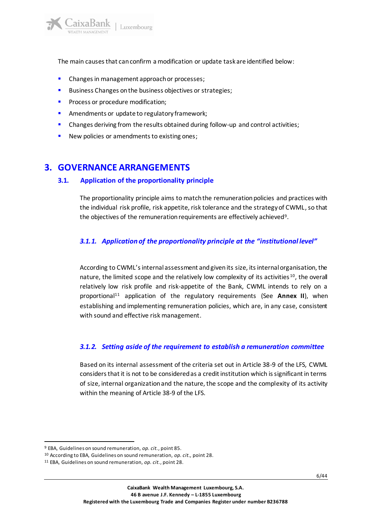The main causes that can confirm a modification or update task are identified below:

- Changes in management approach or processes;
- Business Changes on the business objectives or strategies;
- Process or procedure modification;
- **E** Amendments or update to regulatory framework;
- **•** Changes deriving from the results obtained during follow-up and control activities;
- New policies or amendments to existing ones;

## <span id="page-5-1"></span><span id="page-5-0"></span>**3. GOVERNANCE ARRANGEMENTS**

### **3.1. Application of the proportionality principle**

The proportionality principle aims to match the remuneration policies and practices with the individual risk profile, risk appetite, risk tolerance and the strategy of CWML, so that the objectives of the remuneration requirements are effectively achieved $^9$ .

### <span id="page-5-2"></span>*3.1.1. Application of the proportionality principle at the "institutional level"*

According to CWML's internal assessment and given its size, its internal organisation, the nature, the limited scope and the relatively low complexity of its activities <sup>10</sup>, the overall relatively low risk profile and risk-appetite of the Bank, CWML intends to rely on a proportional<sup>11</sup> application of the regulatory requirements (See Annex II), when establishing and implementing remuneration policies, which are, in any case, consistent with sound and effective risk management.

### <span id="page-5-3"></span>*3.1.2. Setting aside of the requirement to establish a remuneration committee*

Based on its internal assessment of the criteria set out in Article 38-9 of the LFS, CWML considers that it is not to be considered as a credit institution which is significant in terms of size, internal organization and the nature, the scope and the complexity of its activity within the meaning of Article 38-9 of the LFS.

<sup>9</sup> EBA, Guidelines on sound remuneration, *op. cit.*, point 85.

<sup>10</sup> According to EBA, Guidelines on sound remuneration, *op. cit.,* point 28.

<sup>11</sup> EBA, Guidelines on sound remuneration, *op. cit.*, point 28.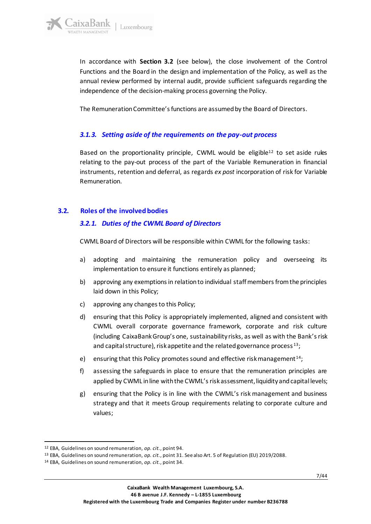In accordance with **Section 3.2** (see below), the close involvement of the Control Functions and the Board in the design and implementation of the Policy, as well as the annual review performed by internal audit, provide sufficient safeguards regarding the independence of the decision-making process governing the Policy.

The Remuneration Committee's functions are assumed by the Board of Directors.

### <span id="page-6-0"></span>*3.1.3. Setting aside of the requirements on the pay-out process*

Based on the proportionality principle, CWML would be eligible<sup>12</sup> to set aside rules relating to the pay-out process of the part of the Variable Remuneration in financial instruments, retention and deferral, as regards *ex post* incorporation of risk for Variable Remuneration.

### <span id="page-6-2"></span><span id="page-6-1"></span>**3.2. Roles of the involved bodies**

### *3.2.1. Duties of the CWML Board of Directors*

CWML Board of Directors will be responsible within CWML for the following tasks:

- a) adopting and maintaining the remuneration policy and overseeing its implementation to ensure it functions entirely as planned;
- b) approving any exemptions in relation to individual staff members from the principles laid down in this Policy;
- c) approving any changes to this Policy;
- d) ensuring that this Policy is appropriately implemented, aligned and consistent with CWML overall corporate governance framework, corporate and risk culture (including CaixaBank Group's one, sustainability risks, as well as with the Bank's risk and capital structure), risk appetite and the related governance process<sup>13</sup>;
- e) ensuring that this Policy promotes sound and effective risk management<sup>14</sup>;
- f) assessing the safeguards in place to ensure that the remuneration principles are applied by CWML in line with the CWML's risk assessment, liquidity and capital levels;
- g) ensuring that the Policy is in line with the CWML's risk management and business strategy and that it meets Group requirements relating to corporate culture and values;

<sup>12</sup> EBA, Guidelines on sound remuneration, *op. cit.*, point 94.

<sup>13</sup> EBA, Guidelines on sound remuneration, *op. cit.*, point 31. See also Art. 5 of Regulation (EU) 2019/2088.

<sup>14</sup> EBA, Guidelines on sound remuneration, *op. cit.*, point 34.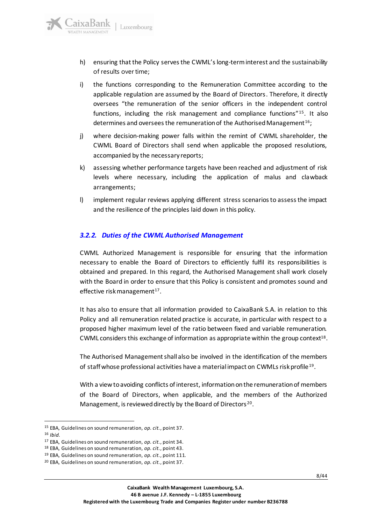

- i) the functions corresponding to the Remuneration Committee according to the applicable regulation are assumed by the Board of Directors. Therefore, it directly oversees "the remuneration of the senior officers in the independent control functions, including the risk management and compliance functions"<sup>15</sup>. It also determines and oversees the remuneration of the Authorised Management<sup>16</sup>;
- j) where decision-making power falls within the remint of CWML shareholder, the CWML Board of Directors shall send when applicable the proposed resolutions, accompanied by the necessary reports;
- k) assessing whether performance targets have been reached and adjustment of risk levels where necessary, including the application of malus and clawback arrangements;
- l) implement regular reviews applying different stress scenarios to assess the impact and the resilience of the principles laid down in this policy.

### <span id="page-7-0"></span>*3.2.2. Duties of the CWML Authorised Management*

CWML Authorized Management is responsible for ensuring that the information necessary to enable the Board of Directors to efficiently fulfil its responsibilities is obtained and prepared. In this regard, the Authorised Management shall work closely with the Board in order to ensure that this Policy is consistent and promotes sound and effective risk management<sup>17</sup>.

It has also to ensure that all information provided to CaixaBank S.A. in relation to this Policy and all remuneration related practice is accurate, in particular with respect to a proposed higher maximum level of the ratio between fixed and variable remuneration. CWML considers this exchange of information as appropriate within the group context<sup>18</sup>.

The Authorised Management shall also be involved in the identification of the members of staff whose professional activities have a material impact on CWMLs risk profile<sup>19</sup>.

With a view to avoiding conflicts of interest, information on the remuneration of members of the Board of Directors, when applicable, and the members of the Authorized Management, is reviewed directly by the Board of Directors<sup>20</sup>.

aixaBank

Luxembourg

<sup>16</sup> *Ibid.*

<sup>15</sup> EBA, Guidelines on sound remuneration, *op. cit.*, point 37.

<sup>17</sup> EBA, Guidelines on sound remuneration, *op. cit.*, point 34.

<sup>18</sup> EBA, Guidelines on sound remuneration, *op. cit.*, point 43.

<sup>19</sup> EBA, Guidelines on sound remuneration, *op. cit.*, point 111.

<sup>20</sup> EBA, Guidelines on sound remuneration, *op. cit.*, point 37.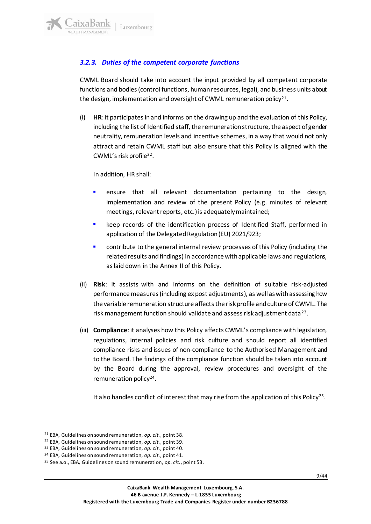### <span id="page-8-0"></span>*3.2.3. Duties of the competent corporate functions*

CWML Board should take into account the input provided by all competent corporate functions and bodies (control functions, human resources, legal), and business units about the design, implementation and oversight of CWML remuneration policy<sup>21</sup>.

(i) **HR**: it participates in and informs on the drawing up and the evaluation of this Policy, including the list of Identified staff, the remuneration structure, the aspect of gender neutrality, remuneration levels and incentive schemes, in a way that would not only attract and retain CWML staff but also ensure that this Policy is aligned with the CWML's risk profile<sup>22</sup>.

In addition, HR shall:

- ensure that all relevant documentation pertaining to the design, implementation and review of the present Policy (e.g. minutes of relevant meetings, relevant reports, etc.) is adequately maintained;
- keep records of the identification process of Identified Staff, performed in application of the Delegated Regulation (EU) 2021/923;
- contribute to the general internal review processes of this Policy (including the related results and findings) in accordance with applicable laws and regulations, as laid down in the Annex II of this Policy.
- (ii) **Risk**: it assists with and informs on the definition of suitable risk-adjusted performance measures (including ex post adjustments), as well as with assessing how the variable remuneration structure affects the risk profile and culture of CWML. The risk management function should validate and assess risk adjustment data<sup>23</sup>.
- (iii) **Compliance**: it analyses how this Policy affects CWML's compliance with legislation, regulations, internal policies and risk culture and should report all identified compliance risks and issues of non-compliance to the Authorised Management and to the Board. The findings of the compliance function should be taken into account by the Board during the approval, review procedures and oversight of the remuneration policy<sup>24</sup>.

It also handles conflict of interest that may rise from the application of this Policy<sup>25</sup>.

<sup>21</sup> EBA, Guidelines on sound remuneration, *op. cit.*, point 38.

<sup>22</sup> EBA, Guidelines on sound remuneration, *op. cit.*, point 39.

<sup>23</sup> EBA, Guidelines on sound remuneration, *op. cit.*, point 40.

<sup>24</sup> EBA, Guidelines on sound remuneration, *op. cit.*, point 41.

<sup>25</sup> See a.o., EBA, Guidelines on sound remuneration, *op. cit.*, point 53.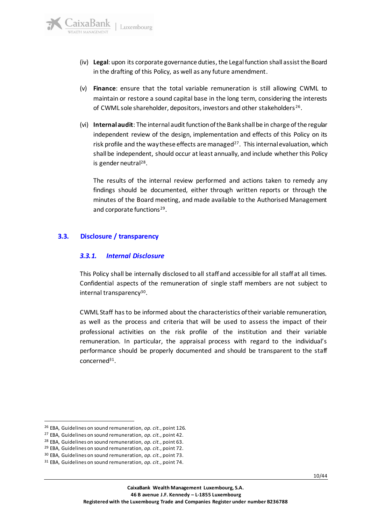- (iv) **Legal**: upon its corporate governance duties, the Legal function shall assist the Board in the drafting of this Policy, as well as any future amendment.
- (v) **Finance**: ensure that the total variable remuneration is still allowing CWML to maintain or restore a sound capital base in the long term, considering the interests of CWML sole shareholder, depositors, investors and other stakeholders <sup>26</sup> .
- (vi) **Internal audit**: The internal audit function of the Bank shall be in charge of the regular independent review of the design, implementation and effects of this Policy on its risk profile and the way these effects are managed<sup>27</sup>. This internal evaluation, which shall be independent, should occur at least annually, and include whether this Policy is gender neutral<sup>28</sup> .

The results of the internal review performed and actions taken to remedy any findings should be documented, either through written reports or through the minutes of the Board meeting, and made available to the Authorised Management and corporate functions<sup>29</sup>.

### <span id="page-9-1"></span><span id="page-9-0"></span>**3.3. Disclosure / transparency**

### *3.3.1. Internal Disclosure*

This Policy shall be internally disclosed to all staff and accessible for all staff at all times. Confidential aspects of the remuneration of single staff members are not subject to internal transparency<sup>30</sup>.

CWML Staff hasto be informed about the characteristics of their variable remuneration, as well as the process and criteria that will be used to assess the impact of their professional activities on the risk profile of the institution and their variable remuneration. In particular, the appraisal process with regard to the individual's performance should be properly documented and should be transparent to the staff concerned<sup>31</sup> .

<sup>26</sup> EBA, Guidelines on sound remuneration, *op. cit.*, point 126.

<sup>27</sup> EBA, Guidelines on sound remuneration, *op. cit.*, point 42.

<sup>28</sup> EBA, Guidelines on sound remuneration, *op. cit.*, point 63.

<sup>29</sup> EBA, Guidelines on sound remuneration, *op. cit.*, point 72.

<sup>30</sup> EBA, Guidelines on sound remuneration, *op. cit.*, point 73.

<sup>31</sup> EBA, Guidelines on sound remuneration, *op. cit.*, point 74.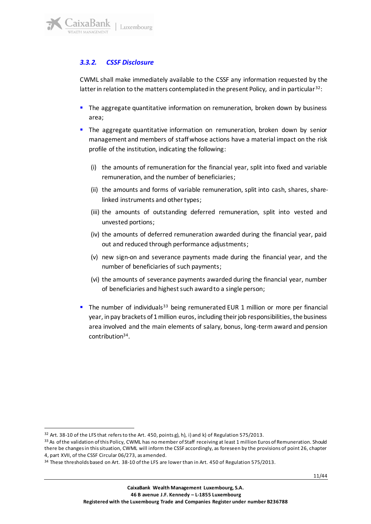

### <span id="page-10-0"></span>*3.3.2. CSSF Disclosure*

CWML shall make immediately available to the CSSF any information requested by the latter in relation to the matters contemplated in the present Policy, and in particular<sup>32</sup>:

- **.** The aggregate quantitative information on remuneration, broken down by business area;
- **.** The aggregate quantitative information on remuneration, broken down by senior management and members of staff whose actions have a material impact on the risk profile of the institution, indicating the following:
	- (i) the amounts of remuneration for the financial year, split into fixed and variable remuneration, and the number of beneficiaries;
	- (ii) the amounts and forms of variable remuneration, split into cash, shares, sharelinked instruments and other types;
	- (iii) the amounts of outstanding deferred remuneration, split into vested and unvested portions;
	- (iv) the amounts of deferred remuneration awarded during the financial year, paid out and reduced through performance adjustments;
	- (v) new sign-on and severance payments made during the financial year, and the number of beneficiaries of such payments;
	- (vi) the amounts of severance payments awarded during the financial year, number of beneficiaries and highest such award to a single person;
- **.** The number of individuals<sup>33</sup> being remunerated EUR 1 million or more per financial year, in pay brackets of 1 million euros, including their job responsibilities, the business area involved and the main elements of salary, bonus, long-term award and pension contribution<sup>34</sup> .

<sup>&</sup>lt;sup>32</sup> Art. 38-10 of the LFS that refers to the Art. 450, points g), h), i) and k) of Regulation 575/2013.

<sup>33</sup> As of the validation of this Policy, CWML has no member of Staff receiving at least 1 million Euros of Remuneration. Should there be changes in this situation, CWML will inform the CSSF accordingly, as foreseen by the provisions of point 26, chapter 4, part XVII, of the CSSF Circular 06/273, as amended.

<sup>&</sup>lt;sup>34</sup> These thresholds based on Art. 38-10 of the LFS are lower than in Art. 450 of Regulation 575/2013.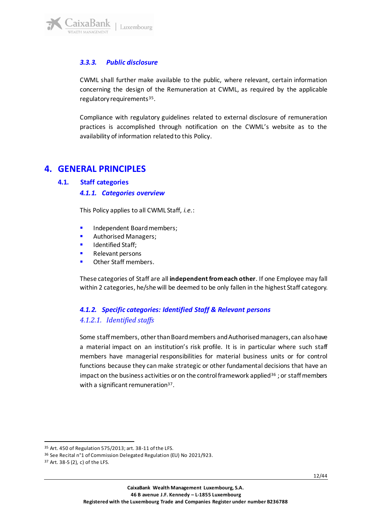

### <span id="page-11-0"></span>*3.3.3. Public disclosure*

CWML shall further make available to the public, where relevant, certain information concerning the design of the Remuneration at CWML, as required by the applicable regulatory requirements<sup>35</sup>.

Compliance with regulatory guidelines related to external disclosure of remuneration practices is accomplished through notification on the CWML's website as to the availability of information related to this Policy.

### <span id="page-11-2"></span><span id="page-11-1"></span>**4. GENERAL PRINCIPLES**

#### <span id="page-11-3"></span>**4.1. Staff categories**

#### *4.1.1. Categories overview*

This Policy applies to all CWML Staff, *i.e.*:

- Independent Board members;
- Authorised Managers;
- Identified Staff;
- Relevant persons
- Other Staff members.

These categories of Staff are all **independent from each other**. If one Employee may fall within 2 categories, he/she will be deemed to be only fallen in the highest Staff category.

### <span id="page-11-5"></span><span id="page-11-4"></span>*4.1.2. Specific categories: Identified Staff & Relevant persons 4.1.2.1. Identified staffs*

Some staff members, other than Board members and Authorised managers, can alsohave a material impact on an institution's risk profile. It is in particular where such staff members have managerial responsibilities for material business units or for control functions because they can make strategic or other fundamental decisions that have an impact on the business activities or on the control framework applied<sup>36</sup>; or staff members with a significant remuneration<sup>37</sup>.

<sup>35</sup> Art. 450 of Regulation 575/2013; art. 38-11 of the LFS.

<sup>36</sup> See Recital n°1 of Commission Delegated Regulation (EU) No 2021/923.

<sup>37</sup> Art. 38-5 (2), c) of the LFS.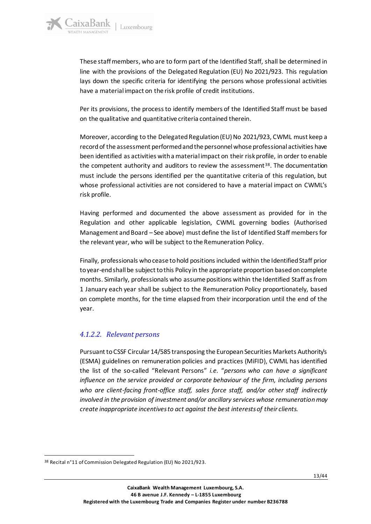These staff members, who are to form part of the Identified Staff, shall be determined in line with the provisions of the Delegated Regulation (EU) No 2021/923. This regulation lays down the specific criteria for identifying the persons whose professional activities have a material impact on the risk profile of credit institutions.

Per its provisions, the process to identify members of the Identified Staff must be based on the qualitative and quantitative criteria contained therein.

Moreover, according to the Delegated Regulation (EU) No 2021/923, CWML must keep a record of the assessment performed and the personnel whose professional activities have been identified as activities with a material impact on their risk profile, in order to enable the competent authority and auditors to review the assessment  $38$ . The documentation must include the persons identified per the quantitative criteria of this regulation, but whose professional activities are not considered to have a material impact on CWML's risk profile.

Having performed and documented the above assessment as provided for in the Regulation and other applicable legislation, CWML governing bodies (Authorised Management and Board – See above) must define the list of Identified Staff members for the relevant year, who will be subject to the Remuneration Policy.

Finally, professionals who cease to hold positions included within the Identified Staff prior to year-end shall be subject to this Policy in the appropriate proportion based on complete months. Similarly, professionals who assume positions within the Identified Staff as from 1 January each year shall be subject to the Remuneration Policy proportionately, based on complete months, for the time elapsed from their incorporation until the end of the year.

### <span id="page-12-0"></span>*4.1.2.2. Relevant persons*

Pursuant toCSSF Circular 14/585 transposing the European Securities Markets Authority's (ESMA) guidelines on remuneration policies and practices (MiFID), CWML has identified the list of the so-called "Relevant Persons" *i.e.* "*persons who can have a significant influence on the service provided or corporate behaviour of the firm, including persons who are client-facing front-office staff, sales force staff, and/or other staff indirectly involved in the provision of investment and/or ancillary services whose remuneration may create inappropriate incentives to act against the best interests of their clients.* 

<sup>38</sup> Recital n°11 of Commission Delegated Regulation (EU) No 2021/923.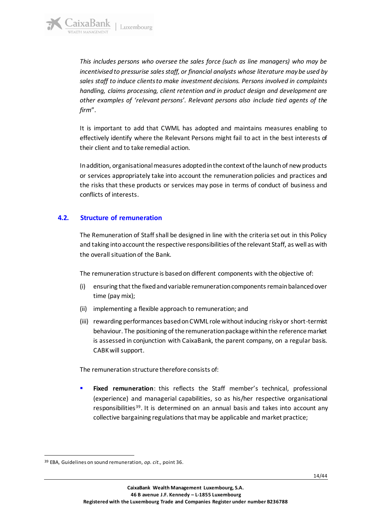*This includes persons who oversee the sales force (such as line managers) who may be incentivised to pressurise sales staff, or financial analysts whose literature may be used by sales staff to induce clients to make investment decisions. Persons involved in complaints handling, claims processing, client retention and in product design and development are other examples of 'relevant persons'. Relevant persons also include tied agents of the firm*".

It is important to add that CWML has adopted and maintains measures enabling to effectively identify where the Relevant Persons might fail to act in the best interests of their client and to take remedial action.

In addition, organisational measures adopted in the context of the launch of new products or services appropriately take into account the remuneration policies and practices and the risks that these products or services may pose in terms of conduct of business and conflicts of interests.

### <span id="page-13-0"></span>**4.2. Structure of remuneration**

The Remuneration of Staff shall be designed in line with the criteria set out in this Policy and taking into account the respective responsibilities of the relevant Staff, as well as with the overall situation of the Bank.

The remuneration structure is based on different components with the objective of:

- (i) ensuring that the fixed and variable remuneration components remain balanced over time (pay mix);
- (ii) implementing a flexible approach to remuneration; and
- (iii) rewarding performances based on CWML role without inducing risky or short-termist behaviour. The positioning of the remuneration package within the reference market is assessed in conjunction with CaixaBank, the parent company, on a regular basis. CABK will support.

The remuneration structure therefore consists of:

Fixed remuneration: this reflects the Staff member's technical, professional (experience) and managerial capabilities, so as his/her respective organisational responsibilities<sup>39</sup>. It is determined on an annual basis and takes into account any collective bargaining regulations that may be applicable and market practice;

<sup>39</sup> EBA, Guidelines on sound remuneration, *op. cit.,* point 36.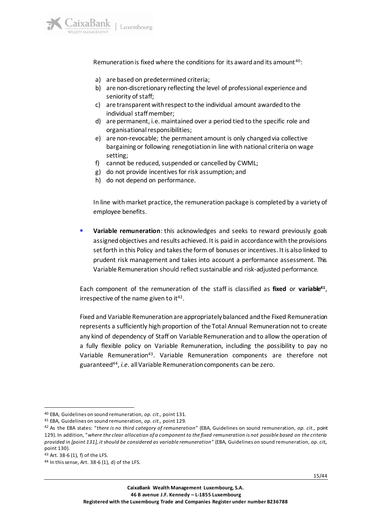Remuneration is fixed where the conditions for its award and its amount <sup>40</sup>:

- a) are based on predetermined criteria;
- b) are non-discretionary reflecting the level of professional experience and seniority of staff;
- c) are transparent with respect to the individual amount awarded to the individual staff member;
- d) are permanent, i.e. maintained over a period tied to the specific role and organisational responsibilities;
- e) are non-revocable; the permanent amount is only changed via collective bargaining or following renegotiation in line with national criteria on wage setting;
- f) cannot be reduced, suspended or cancelled by CWML;
- g) do not provide incentives for risk assumption; and
- h) do not depend on performance.

In line with market practice, the remuneration package is completed by a variety of employee benefits.

**Variable remuneration**: this acknowledges and seeks to reward previously goals assigned objectives and results achieved. It is paid in accordance with the provisions set forth in this Policy and takes the form of bonuses or incentives. It is also linked to prudent risk management and takes into account a performance assessment. This Variable Remuneration should reflect sustainable and risk-adjusted performance.

Each component of the remuneration of the staff is classified as **fixed** or **variable<sup>41</sup>** , irrespective of the name given to it<sup>42</sup>.

Fixed and Variable Remuneration are appropriately balanced and the Fixed Remuneration represents a sufficiently high proportion of the Total Annual Remuneration not to create any kind of dependency of Staff on Variable Remuneration and to allow the operation of a fully flexible policy on Variable Remuneration, including the possibility to pay no Variable Remuneration<sup>43</sup>. Variable Remuneration components are therefore not guaranteed<sup>44</sup> , *i.e.* all Variable Remuneration components can be zero.

<sup>40</sup> EBA, Guidelines on sound remuneration, *op. cit.,* point 131.

<sup>41</sup> EBA, Guidelines on sound remuneration, *op. cit.,* point 129.

<sup>42</sup> As the EBA states: "*there is no third category of remuneration*" (EBA, Guidelines on sound remuneration, *op. cit.,* point 129). In addition, "*where the clear allocation of a component to the fixed remuneration is not possible based on the criteria provided in [point 131], it should be considered as variable remuneration*" (EBA, Guidelines on sound remuneration, *op. cit.,*  point 130).

<sup>43</sup> Art. 38-6 (1), f) of the LFS.

 $44$  In this sense, Art. 38-6 (1), d) of the LFS.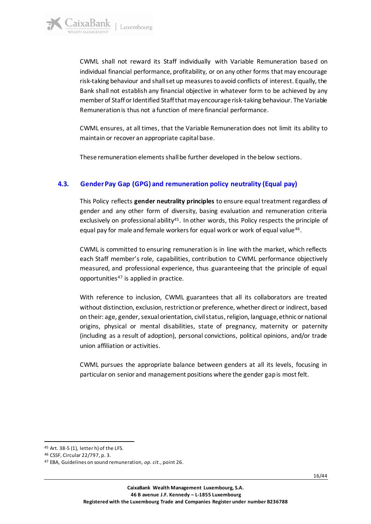aixaBank

CWML shall not reward its Staff individually with Variable Remuneration based on individual financial performance, profitability, or on any other forms that may encourage risk-taking behaviour and shall set up measures to avoid conflicts of interest. Equally, the Bank shall not establish any financial objective in whatever form to be achieved by any member of Staff or Identified Staff that may encourage risk-taking behaviour. The Variable Remuneration is thus not a function of mere financial performance.

CWML ensures, at all times, that the Variable Remuneration does not limit its ability to maintain or recover an appropriate capital base.

These remuneration elements shall be further developed in the below sections.

### <span id="page-15-0"></span>**4.3. Gender Pay Gap (GPG) and remuneration policy neutrality (Equal pay)**

This Policy reflects **gender neutrality principles** to ensure equal treatment regardless of gender and any other form of diversity, basing evaluation and remuneration criteria exclusively on professional ability<sup>45</sup>. In other words, this Policy respects the principle of equal pay for male and female workers for equal work or work of equal value<sup>46</sup>.

CWML is committed to ensuring remuneration is in line with the market, which reflects each Staff member's role, capabilities, contribution to CWML performance objectively measured, and professional experience, thus guaranteeing that the principle of equal opportunities $47$  is applied in practice.

With reference to inclusion, CWML guarantees that all its collaborators are treated without distinction, exclusion, restriction or preference, whether direct or indirect, based on their: age, gender, sexual orientation, civil status, religion, language, ethnic or national origins, physical or mental disabilities, state of pregnancy, maternity or paternity (including as a result of adoption), personal convictions, political opinions, and/or trade union affiliation or activities.

CWML pursues the appropriate balance between genders at all its levels, focusing in particular on senior and management positions where the gender gap is most felt.

<sup>45</sup> Art. 38-5 (1), letter h) of the LFS.

<sup>46</sup> CSSF, Circular 22/797, p. 3.

<sup>47</sup> EBA, Guidelines on sound remuneration, *op. cit.*, point 26.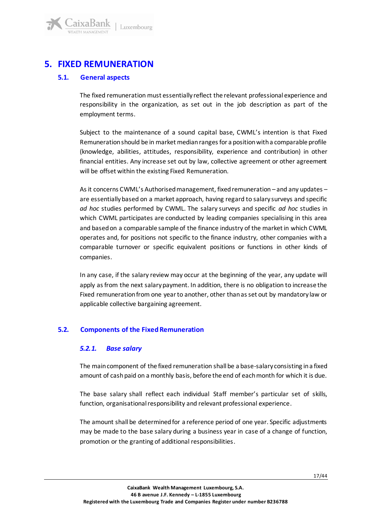<span id="page-16-0"></span>

#### <span id="page-16-1"></span>**5.1. General aspects**

aixaBank

The fixed remuneration must essentially reflect the relevant professional experience and responsibility in the organization, as set out in the job description as part of the employment terms.

Subject to the maintenance of a sound capital base, CWML's intention is that Fixed Remuneration should be in market median ranges for a position with a comparable profile (knowledge, abilities, attitudes, responsibility, experience and contribution) in other financial entities. Any increase set out by law, collective agreement or other agreement will be offset within the existing Fixed Remuneration.

As it concerns CWML's Authorised management, fixed remuneration – and any updates – are essentially based on a market approach, having regard to salary surveys and specific *ad hoc* studies performed by CWML. The salary surveys and specific *ad hoc* studies in which CWML participates are conducted by leading companies specialising in this area and based on a comparable sample of the finance industry of the market in which CWML operates and, for positions not specific to the finance industry, other companies with a comparable turnover or specific equivalent positions or functions in other kinds of companies.

In any case, if the salary review may occur at the beginning of the year, any update will apply as from the next salary payment. In addition, there is no obligation to increase the Fixed remuneration from one year to another, other than as set out by mandatory law or applicable collective bargaining agreement.

### <span id="page-16-3"></span><span id="page-16-2"></span>**5.2. Components of the Fixed Remuneration**

### *5.2.1. Base salary*

The main component of the fixed remuneration shall be a base-salary consisting in a fixed amount of cash paid on a monthly basis, before the end of each month for which it is due.

The base salary shall reflect each individual Staff member's particular set of skills, function, organisational responsibility and relevant professional experience.

The amount shall be determined for a reference period of one year. Specific adjustments may be made to the base salary during a business year in case of a change of function, promotion or the granting of additional responsibilities.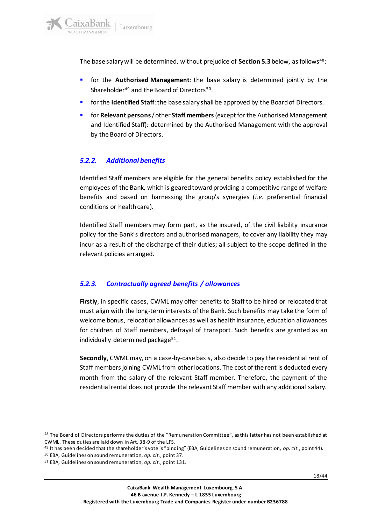The base salary will be determined, without prejudice of **Section 5.3** below, as follows<sup>48</sup>:

- for the **Authorised Management**: the base salary is determined jointly by the Shareholder<sup>49</sup> and the Board of Directors<sup>50</sup>.
- **•** for the **Identified Staff**: the base salary shall be approved by the Board of Directors.
- for **Relevant persons**/ other **Staff members**(except for the Authorised Management and Identified Staff): determined by the Authorised Management with the approval by the Board of Directors.

### <span id="page-17-0"></span>*5.2.2. Additional benefits*

Identified Staff members are eligible for the general benefits policy established for the employees of the Bank, which is geared toward providing a competitive range of welfare benefits and based on harnessing the group's synergies (*i.e.* preferential financial conditions or health care).

Identified Staff members may form part, as the insured, of the civil liability insurance policy for the Bank's directors and authorised managers, to cover any liability they may incur as a result of the discharge of their duties; all subject to the scope defined in the relevant policies arranged.

### <span id="page-17-1"></span>*5.2.3. Contractually agreed benefits / allowances*

**Firstly**, in specific cases, CWML may offer benefits to Staff to be hired or relocated that must align with the long-term interests of the Bank. Such benefits may take the form of welcome bonus, relocation allowances as well as health insurance, education allowances for children of Staff members, defrayal of transport. Such benefits are granted as an individually determined package<sup>51</sup>.

**Secondly**, CWMLmay, on a case-by-case basis, also decide to pay the residential rent of Staff members joining CWML from other locations. The cost of the rent is deducted every month from the salary of the relevant Staff member. Therefore, the payment of the residential rental does not provide the relevant Staff member with any additional salary.

<sup>48</sup> The Board of Directors performs the duties of the "Remuneration Committee", as this latter has not been established at CWML. These duties are laid down in Art. 38-9 of the LFS.

<sup>49</sup> It has been decided that the shareholder's vote is "binding" (EBA, Guidelines on sound remuneration, *op. cit.*, point 44).

<sup>50</sup> EBA, Guidelines on sound remuneration, *op. cit.*, point 37.

<sup>51</sup> EBA, Guidelines on sound remuneration, *op. cit.*, point 131.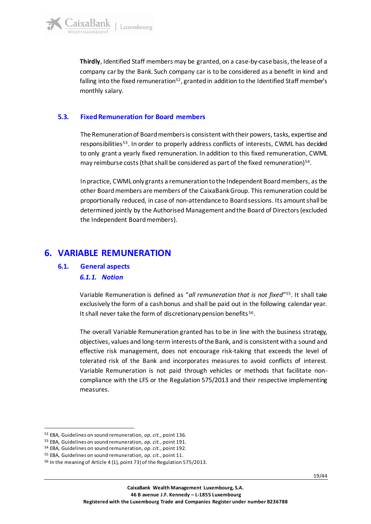**Thirdly**, Identified Staff members may be granted, on a case-by-case basis, the lease of a company car by the Bank. Such company car is to be considered as a benefit in kind and falling into the fixed remuneration<sup>52</sup>, granted in addition to the Identified Staff member's monthly salary.

### <span id="page-18-0"></span>**5.3. Fixed Remuneration for Board members**

The Remuneration of Board members is consistent with their powers, tasks, expertise and responsibilities<sup>53</sup>. In order to properly address conflicts of interests, CWML has decided to only grant a yearly fixed remuneration. In addition to this fixed remuneration, CWML may reimburse costs (that shall be considered as part of the fixed remuneration) $54$ .

In practice, CWML only grants a remuneration to the Independent Board members, as the other Board members are members of the CaixaBank Group. This remuneration could be proportionally reduced, in case of non-attendance to Board sessions. Its amount shall be determined jointly by the Authorised Management and the Board of Directors (excluded the Independent Board members).

## <span id="page-18-2"></span><span id="page-18-1"></span>**6. VARIABLE REMUNERATION**

### <span id="page-18-3"></span>**6.1. General aspects** *6.1.1. Notion*

Variable Remuneration is defined as "*all remuneration that is not fixed*" 55 . It shall take exclusively the form of a cash bonus and shall be paid out in the following calendar year. It shall never take the form of discretionary pension benefits<sup>56</sup>.

The overall Variable Remuneration granted has to be in line with the business strategy, objectives, values and long-term interests of the Bank, and is consistent with a sound and effective risk management, does not encourage risk-taking that exceeds the level of tolerated risk of the Bank and incorporates measures to avoid conflicts of interest. Variable Remuneration is not paid through vehicles or methods that facilitate noncompliance with the LFS or the Regulation 575/2013 and their respective implementing measures.

<sup>52</sup> EBA, Guidelines on sound remuneration, *op. cit.*, point 136.

<sup>53</sup> EBA, Guidelines on sound remuneration, *op. cit.*, point 191.

<sup>54</sup> EBA, Guidelines on sound remuneration, *op. cit.*, point 192.

<sup>55</sup> EBA, Guidelines on sound remuneration, *op. cit.*, point 11.

<sup>56</sup> In the meaning of Article 4 (1), point 73) of the Regulation 575/2013.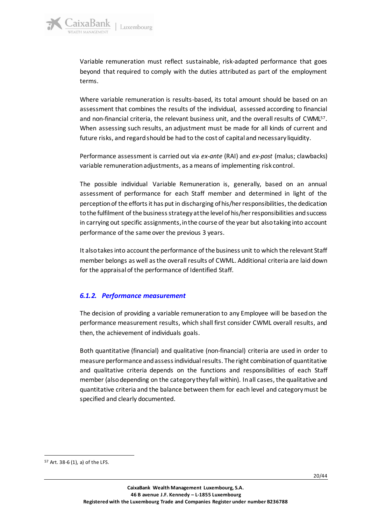Variable remuneration must reflect sustainable, risk-adapted performance that goes beyond that required to comply with the duties attributed as part of the employment terms.

Where variable remuneration is results-based, its total amount should be based on an assessment that combines the results of the individual, assessed according to financial and non-financial criteria, the relevant business unit, and the overall results of CWML<sup>57</sup>. When assessing such results, an adjustment must be made for all kinds of current and future risks, and regard should be had to the cost of capital and necessary liquidity.

Performance assessment is carried out via *ex-ante* (RAI) and *ex-post* (malus; clawbacks) variable remuneration adjustments, as a means of implementing risk control.

The possible individual Variable Remuneration is, generally, based on an annual assessment of performance for each Staff member and determined in light of the perception of the efforts it has put in discharging of his/her responsibilities, the dedication to the fulfilment of the business strategy at the level of his/her responsibilities and success in carrying out specific assignments, in the course of the year but also taking into account performance of the same over the previous 3 years.

It also takes into account the performance of the business unit to which the relevant Staff member belongs as well as the overall results of CWML. Additional criteria are laid down for the appraisal of the performance of Identified Staff.

### <span id="page-19-0"></span>*6.1.2. Performance measurement*

The decision of providing a variable remuneration to any Employee will be based on the performance measurement results, which shall first consider CWML overall results, and then, the achievement of individuals goals.

Both quantitative (financial) and qualitative (non-financial) criteria are used in order to measure performance and assess individual results. The right combination of quantitative and qualitative criteria depends on the functions and responsibilities of each Staff member (also depending on the category they fall within). In all cases, the qualitative and quantitative criteria and the balance between them for each level and category must be specified and clearly documented.

<sup>57</sup> Art. 38-6 (1), a) of the LFS.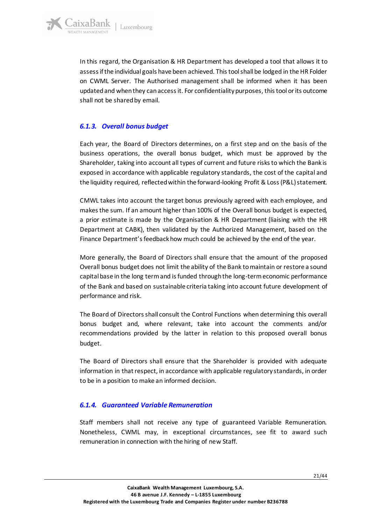

In this regard, the Organisation & HR Department has developed a tool that allows it to assess if the individual goals have been achieved. This tool shall be lodged in the HR Folder on CWML Server. The Authorised management shall be informed when it has been updated and when they can access it. For confidentiality purposes, this tool or its outcome shall not be shared by email.

### <span id="page-20-0"></span>*6.1.3. Overall bonus budget*

Each year, the Board of Directors determines, on a first step and on the basis of the business operations, the overall bonus budget, which must be approved by the Shareholder, taking into account all types of current and future risks to which the Bank is exposed in accordance with applicable regulatory standards, the cost of the capital and the liquidity required, reflected within the forward-looking Profit & Loss (P&L) statement.

CMWL takes into account the target bonus previously agreed with each employee, and makes the sum. If an amount higher than 100% of the Overall bonus budget is expected, a prior estimate is made by the Organisation & HR Department (liaising with the HR Department at CABK), then validated by the Authorized Management, based on the Finance Department's feedback how much could be achieved by the end of the year.

More generally, the Board of Directors shall ensure that the amount of the proposed Overall bonus budget does not limit the ability of the Bank to maintain or restore a sound capital base in the long term and is funded through the long-term economic performance of the Bank and based on sustainable criteria taking into account future development of performance and risk.

The Board of Directors shall consult the Control Functions when determining this overall bonus budget and, where relevant, take into account the comments and/or recommendations provided by the latter in relation to this proposed overall bonus budget.

The Board of Directors shall ensure that the Shareholder is provided with adequate information in that respect, in accordance with applicable regulatory standards, in order to be in a position to make an informed decision.

### <span id="page-20-1"></span>*6.1.4. Guaranteed Variable Remuneration*

Staff members shall not receive any type of guaranteed Variable Remuneration. Nonetheless, CWML may, in exceptional circumstances, see fit to award such remuneration in connection with the hiring of new Staff.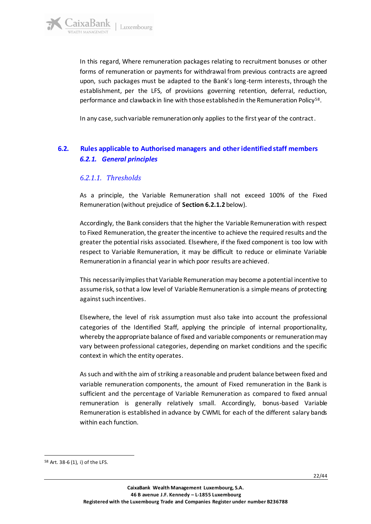In this regard, Where remuneration packages relating to recruitment bonuses or other forms of remuneration or payments for withdrawal from previous contracts are agreed upon, such packages must be adapted to the Bank's long-term interests, through the establishment, per the LFS, of provisions governing retention, deferral, reduction, performance and clawback in line with those established in the Remuneration Policy<sup>58</sup>.

In any case, such variable remuneration only applies to the first year of the contract.

### <span id="page-21-2"></span><span id="page-21-1"></span><span id="page-21-0"></span>**6.2. Rules applicable to Authorised managers and other identified staff members** *6.2.1. General principles*

### *6.2.1.1. Thresholds*

As a principle, the Variable Remuneration shall not exceed 100% of the Fixed Remuneration(without prejudice of **Section 6.2.1.2** below).

Accordingly, the Bank considers that the higher the Variable Remuneration with respect to Fixed Remuneration, the greater the incentive to achieve the required results and the greater the potential risks associated. Elsewhere, if the fixed component is too low with respect to Variable Remuneration, it may be difficult to reduce or eliminate Variable Remuneration in a financial year in which poor results are achieved.

This necessarily implies that Variable Remuneration may become a potential incentive to assume risk, so that a low level of Variable Remuneration is a simple means of protecting against such incentives.

Elsewhere, the level of risk assumption must also take into account the professional categories of the Identified Staff, applying the principle of internal proportionality, whereby the appropriate balance of fixed and variable components or remuneration may vary between professional categories, depending on market conditions and the specific context in which the entity operates.

As such and with the aim of striking a reasonable and prudent balance between fixed and variable remuneration components, the amount of Fixed remuneration in the Bank is sufficient and the percentage of Variable Remuneration as compared to fixed annual remuneration is generally relatively small. Accordingly, bonus-based Variable Remuneration is established in advance by CWML for each of the different salary bands within each function.

<sup>58</sup> Art. 38-6 (1), i) of the LFS.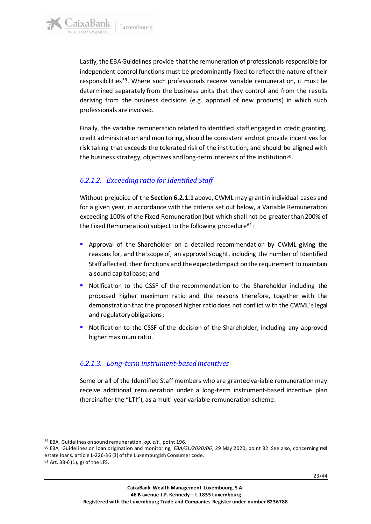

Lastly, the EBA Guidelines provide that the remuneration of professionals responsible for independent control functions must be predominantly fixed to reflect the nature of their responsibilities<sup>59</sup>. Where such professionals receive variable remuneration, it must be determined separately from the business units that they control and from the results deriving from the business decisions (e.g. approval of new products) in which such professionals are involved.

Finally, the variable remuneration related to identified staff engaged in credit granting, credit administration and monitoring, should be consistent and not provide incentives for risk taking that exceeds the tolerated risk of the institution, and should be aligned with the business strategy, objectives and long-term interests of the institution $^{60}$ .

### <span id="page-22-0"></span>*6.2.1.2. Exceeding ratio for Identified Staff*

Without prejudice of the **Section 6.2.1.1** above, CWML may grant in individual cases and for a given year, in accordance with the criteria set out below, a Variable Remuneration exceeding 100% of the Fixed Remuneration (but which shall not be greater than 200% of the Fixed Remuneration) subject to the following procedure<sup>61</sup>:

- **•** Approval of the Shareholder on a detailed recommendation by CWML giving the reasons for, and the scope of, an approval sought, including the number of Identified Staff affected, their functions and the expected impact on the requirement to maintain a sound capital base; and
- Notification to the CSSF of the recommendation to the Shareholder including the proposed higher maximum ratio and the reasons therefore, together with the demonstration that the proposed higher ratio does not conflict with the CWML's legal and regulatory obligations;
- Notification to the CSSF of the decision of the Shareholder, including any approved higher maximum ratio.

### <span id="page-22-1"></span>*6.2.1.3. Long-term instrument-based incentives*

Some or all of the Identified Staff members who are granted variable remuneration may receive additional remuneration under a long-term instrument-based incentive plan (hereinafter the "**LTI**"), as a multi-year variable remuneration scheme.

<sup>59</sup> EBA, Guidelines on sound remuneration, *op. cit.*, point 196.

<sup>60</sup> EBA, Guidelines on loan origination and monitoring, *EBA/GL/2020/06*, 29 May 2020, point 82. See also, concerning real estate loans, article L-226-36 (3) of the Luxemburgish Consumer code.

 $61$  Art. 38-6 (1), g) of the LFS.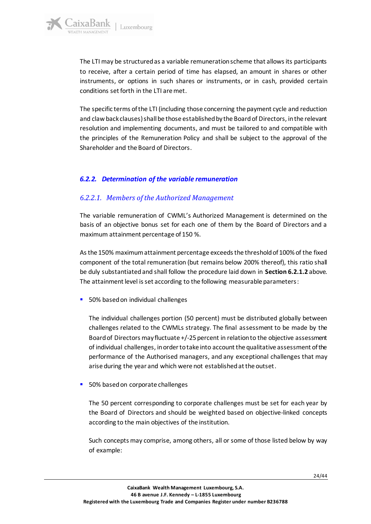The LTI may be structured as a variable remuneration scheme that allows its participants to receive, after a certain period of time has elapsed, an amount in shares or other instruments, or options in such shares or instruments, or in cash, provided certain conditions set forth in the LTI are met.

The specific terms of the LTI (including those concerning the payment cycle and reduction and claw back clauses) shall be those established by the Board of Directors, in the relevant resolution and implementing documents, and must be tailored to and compatible with the principles of the Remuneration Policy and shall be subject to the approval of the Shareholder and the Board of Directors.

### <span id="page-23-0"></span>*6.2.2. Determination of the variable remuneration*

### <span id="page-23-1"></span>*6.2.2.1. Members of the Authorized Management*

The variable remuneration of CWML's Authorized Management is determined on the basis of an objective bonus set for each one of them by the Board of Directors and a maximum attainment percentage of 150 %.

As the 150% maximum attainment percentage exceeds the threshold of 100% of the fixed component of the total remuneration (but remains below 200% thereof), this ratio shall be duly substantiated and shall follow the procedure laid down in **Section 6.2.1.2** above. The attainment level is set according to the following measurable parameters:

■ 50% based on individual challenges

The individual challenges portion (50 percent) must be distributed globally between challenges related to the CWMLs strategy. The final assessment to be made by the Board of Directors may fluctuate +/-25 percent in relation to the objective assessment of individual challenges, in order to take into account the qualitative assessment of the performance of the Authorised managers, and any exceptional challenges that may arise during the year and which were not established at the outset.

■ 50% based on corporate challenges

The 50 percent corresponding to corporate challenges must be set for each year by the Board of Directors and should be weighted based on objective-linked concepts according to the main objectives of the institution.

Such concepts may comprise, among others, all or some of those listed below by way of example: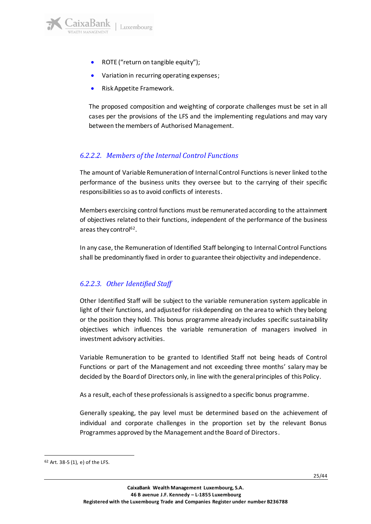aixaBank

- ROTE ("return on tangible equity");
- Variation in recurring operating expenses;
- Risk Appetite Framework.

The proposed composition and weighting of corporate challenges must be set in all cases per the provisions of the LFS and the implementing regulations and may vary between the members of Authorised Management.

### <span id="page-24-0"></span>*6.2.2.2. Members of the Internal Control Functions*

The amount of Variable Remuneration of Internal Control Functions is never linked to the performance of the business units they oversee but to the carrying of their specific responsibilities so as to avoid conflicts of interests.

Members exercising control functions must be remunerated according to the attainment of objectives related to their functions, independent of the performance of the business areas they control<sup>62</sup>.

In any case, the Remuneration of Identified Staff belonging to Internal Control Functions shall be predominantly fixed in order to guarantee their objectivity and independence.

### <span id="page-24-1"></span>*6.2.2.3. Other Identified Staff*

Other Identified Staff will be subject to the variable remuneration system applicable in light of their functions, and adjusted for risk depending on the area to which they belong or the position they hold. This bonus programme already includes specific sustainability objectives which influences the variable remuneration of managers involved in investment advisory activities.

Variable Remuneration to be granted to Identified Staff not being heads of Control Functions or part of the Management and not exceeding three months' salary may be decided by the Board of Directors only, in line with the general principles of this Policy.

As a result, each of these professionals is assigned to a specific bonus programme.

Generally speaking, the pay level must be determined based on the achievement of individual and corporate challenges in the proportion set by the relevant Bonus Programmes approved by the Management and the Board of Directors.

 $62$  Art. 38-5 (1), e) of the LFS.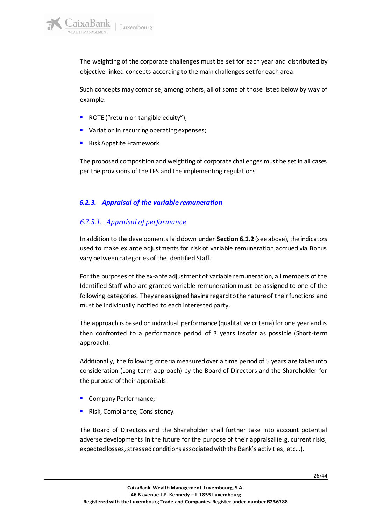The weighting of the corporate challenges must be set for each year and distributed by objective-linked concepts according to the main challenges set for each area.

Such concepts may comprise, among others, all of some of those listed below by way of example:

- ROTE ("return on tangible equity");
- Variation in recurring operating expenses;
- Risk Appetite Framework.

The proposed composition and weighting of corporate challenges must be set in all cases per the provisions of the LFS and the implementing regulations.

### <span id="page-25-0"></span>*6.2.3. Appraisal of the variable remuneration*

### <span id="page-25-1"></span>*6.2.3.1. Appraisal of performance*

In addition to the developments laid down under **Section 6.1.2** (see above), the indicators used to make ex ante adjustments for risk of variable remuneration accrued via Bonus vary between categories of the Identified Staff.

For the purposes of the ex-ante adjustment of variable remuneration, all members of the Identified Staff who are granted variable remuneration must be assigned to one of the following categories. They are assigned having regard to the nature of their functions and must be individually notified to each interested party.

The approach is based on individual performance (qualitative criteria) for one year and is then confronted to a performance period of 3 years insofar as possible (Short-term approach).

Additionally, the following criteria measured over a time period of 5 years are taken into consideration (Long-term approach) by the Board of Directors and the Shareholder for the purpose of their appraisals:

- Company Performance;
- Risk, Compliance, Consistency.

The Board of Directors and the Shareholder shall further take into account potential adverse developments in the future for the purpose of their appraisal (e.g. current risks, expected losses, stressed conditions associated with the Bank's activities, etc…).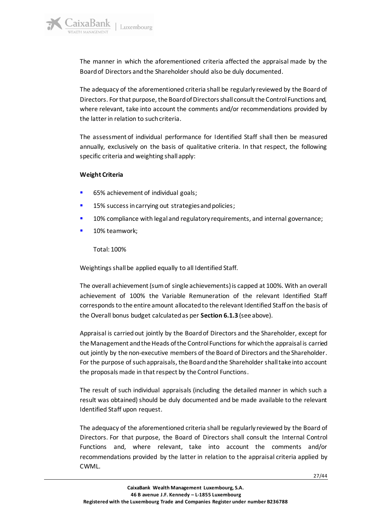The manner in which the aforementioned criteria affected the appraisal made by the Board of Directors and the Shareholder should also be duly documented.

The adequacy of the aforementioned criteria shall be regularly reviewed by the Board of Directors. For that purpose, the Board of Directors shall consult the Control Functions and, where relevant, take into account the comments and/or recommendations provided by the latter in relation to such criteria.

The assessment of individual performance for Identified Staff shall then be measured annually, exclusively on the basis of qualitative criteria. In that respect, the following specific criteria and weighting shall apply:

#### **Weight Criteria**

aixaBank

- 65% achievement of individual goals;
- 15% success in carrying out strategies and policies;
- 10% compliance with legal and regulatory requirements, and internal governance;
- 10% teamwork;

Total: 100%

Weightings shall be applied equally to all Identified Staff.

The overall achievement (sum of single achievements) is capped at 100%. With an overall achievement of 100% the Variable Remuneration of the relevant Identified Staff corresponds to the entire amount allocated to the relevant Identified Staff on the basis of the Overall bonus budget calculated as per **Section 6.1.3** (see above).

Appraisal is carried out jointly by the Board of Directors and the Shareholder, except for the Management and the Heads of the Control Functions for which the appraisal is carried out jointly by the non-executive members of the Board of Directors and the Shareholder. For the purpose of such appraisals, the Board and the Shareholder shall take into account the proposals made in that respect by the Control Functions.

The result of such individual appraisals (including the detailed manner in which such a result was obtained) should be duly documented and be made available to the relevant Identified Staff upon request.

The adequacy of the aforementioned criteria shall be regularly reviewed by the Board of Directors. For that purpose, the Board of Directors shall consult the Internal Control Functions and, where relevant, take into account the comments and/or recommendations provided by the latter in relation to the appraisal criteria applied by CWML.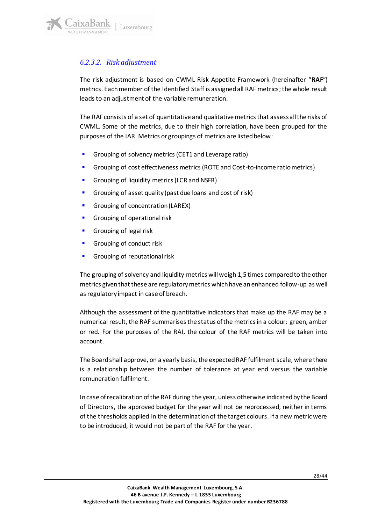

### <span id="page-27-0"></span>*6.2.3.2. Risk adjustment*

The risk adjustment is based on CWML Risk Appetite Framework (hereinafter "**RAF**") metrics. Each member of the Identified Staff is assigned all RAF metrics; the whole result leads to an adjustment of the variable remuneration.

The RAF consists of a set of quantitative and qualitative metrics that assess all the risks of CWML. Some of the metrics, due to their high correlation, have been grouped for the purposes of the IAR. Metrics or groupings of metrics are listed below:

- Grouping of solvency metrics (CET1 and Leverage ratio)
- Grouping of cost effectiveness metrics (ROTE and Cost-to-income ratio metrics)
- Grouping of liquidity metrics (LCR and NSFR)
- Grouping of asset quality (past due loans and cost of risk)
- Grouping of concentration (LAREX)
- Grouping of operational risk
- Grouping of legal risk
- Grouping of conduct risk
- Grouping of reputational risk

The grouping of solvency and liquidity metrics will weigh 1,5 times compared to the other metrics given that these are regulatory metrics which have an enhanced follow-up as well as regulatory impact in case of breach.

Although the assessment of the quantitative indicators that make up the RAF may be a numerical result, the RAF summarises the status of the metrics in a colour: green, amber or red. For the purposes of the RAI, the colour of the RAF metrics will be taken into account.

The Board shall approve, on a yearly basis, the expected RAF fulfilment scale, where there is a relationship between the number of tolerance at year end versus the variable remuneration fulfilment.

In case of recalibration of the RAF during the year, unless otherwise indicated by the Board of Directors, the approved budget for the year will not be reprocessed, neither in terms of the thresholds applied in the determination of the target colours. If a new metric were to be introduced, it would not be part of the RAF for the year.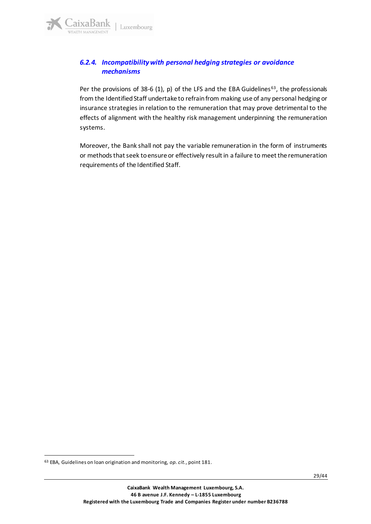### <span id="page-28-0"></span>*6.2.4. Incompatibility with personal hedging strategies or avoidance mechanisms*

Per the provisions of 38-6 (1), p) of the LFS and the EBA Guidelines<sup>63</sup>, the professionals from the Identified Staff undertake to refrain from making use of any personal hedging or insurance strategies in relation to the remuneration that may prove detrimental to the effects of alignment with the healthy risk management underpinning the remuneration systems.

Moreover, the Bank shall not pay the variable remuneration in the form of instruments or methods that seek to ensure or effectively result in a failure to meet the remuneration requirements of the Identified Staff.

<sup>63</sup> EBA, Guidelines on loan origination and monitoring, *op. cit.*, point 181.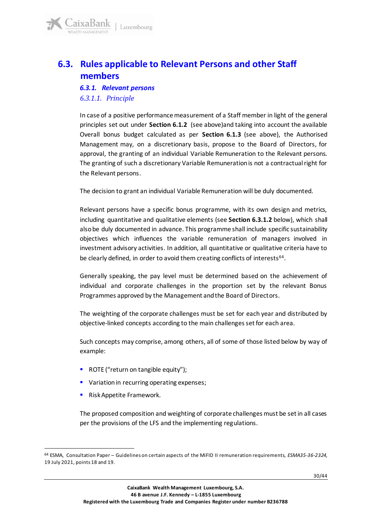

## <span id="page-29-2"></span><span id="page-29-1"></span><span id="page-29-0"></span>**6.3. Rules applicable to Relevant Persons and other Staff members**

### *6.3.1. Relevant persons 6.3.1.1. Principle*

In case of a positive performance measurement of a Staff member in light of the general principles set out under **Section 6.1.2** (see above)and taking into account the available Overall bonus budget calculated as per **Section 6.1.3** (see above), the Authorised Management may, on a discretionary basis, propose to the Board of Directors, for approval, the granting of an individual Variable Remuneration to the Relevant persons. The granting of such a discretionary Variable Remuneration is not a contractual right for the Relevant persons.

The decision to grant an individual Variable Remuneration will be duly documented.

Relevant persons have a specific bonus programme, with its own design and metrics, including quantitative and qualitative elements (see **Section 6.3.1.2** below), which shall also be duly documented in advance. This programme shall include specific sustainability objectives which influences the variable remuneration of managers involved in investment advisory activities. In addition, all quantitative or qualitative criteria have to be clearly defined, in order to avoid them creating conflicts of interests<sup>64</sup>.

Generally speaking, the pay level must be determined based on the achievement of individual and corporate challenges in the proportion set by the relevant Bonus Programmes approved by the Management and the Board of Directors.

The weighting of the corporate challenges must be set for each year and distributed by objective-linked concepts according to the main challenges set for each area.

Such concepts may comprise, among others, all of some of those listed below by way of example:

- ROTE ("return on tangible equity");
- Variation in recurring operating expenses;
- Risk Appetite Framework.

The proposed composition and weighting of corporate challenges must be set in all cases per the provisions of the LFS and the implementing regulations.

<sup>64</sup> ESMA, Consultation Paper – Guidelines on certain aspects of the MiFID II remuneration requirements, *ESMA35-36-2324*, 19 July 2021, points 18 and 19.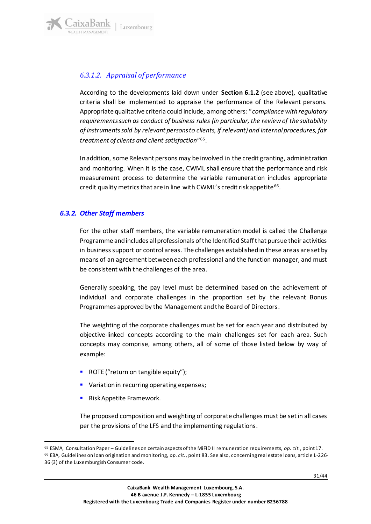

### <span id="page-30-0"></span>*6.3.1.2. Appraisal of performance*

According to the developments laid down under **Section 6.1.2** (see above), qualitative criteria shall be implemented to appraise the performance of the Relevant persons. Appropriate qualitative criteria could include, among others: "*compliance with regulatory requirements such as conduct of business rules (in particular, the review of the suitability of instruments sold by relevant persons to clients, if relevant) and internal procedures, fair treatment of clients and client satisfaction*" 65 .

In addition, some Relevant persons may be involved in the credit granting, administration and monitoring. When it is the case, CWML shall ensure that the performance and risk measurement process to determine the variable remuneration includes appropriate credit quality metrics that are in line with CWML's credit risk appetite<sup>66</sup>.

### <span id="page-30-1"></span>*6.3.2. Other Staff members*

For the other staff members, the variable remuneration model is called the Challenge Programme and includes all professionals of the Identified Staff that pursue their activities in business support or control areas. The challenges established in these areas are set by means of an agreement between each professional and the function manager, and must be consistent with the challenges of the area.

Generally speaking, the pay level must be determined based on the achievement of individual and corporate challenges in the proportion set by the relevant Bonus Programmes approved by the Management and the Board of Directors.

The weighting of the corporate challenges must be set for each year and distributed by objective-linked concepts according to the main challenges set for each area. Such concepts may comprise, among others, all of some of those listed below by way of example:

- ROTE ("return on tangible equity");
- Variation in recurring operating expenses;
- Risk Appetite Framework.

The proposed composition and weighting of corporate challenges must be set in all cases per the provisions of the LFS and the implementing regulations.

<sup>65</sup> ESMA, Consultation Paper – Guidelines on certain aspects of the MiFID II remuneration requirements, *op. cit.*, point 17. <sup>66</sup> EBA, Guidelines on loan origination and monitoring, *op. cit.*, point 83. See also, concerning real estate loans, article L-226- 36 (3) of the Luxemburgish Consumer code.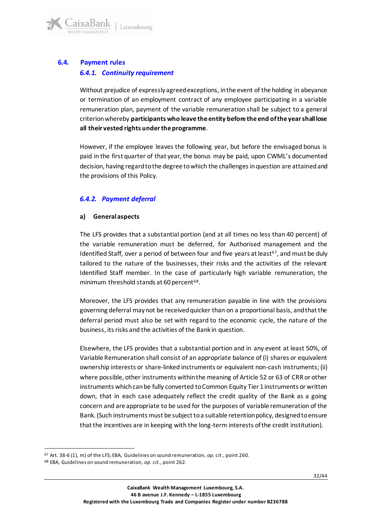

### <span id="page-31-1"></span><span id="page-31-0"></span>**6.4. Payment rules** *6.4.1. Continuity requirement*

Without prejudice of expressly agreed exceptions, in the event of the holding in abeyance or termination of an employment contract of any employee participating in a variable remuneration plan, payment of the variable remuneration shall be subject to a general criterion whereby **participants who leave the entity before the end of the year shall lose all their vested rights under the programme**.

However, if the employee leaves the following year, but before the envisaged bonus is paid in the first quarter of that year, the bonus may be paid, upon CWML's documented decision, having regard to the degree to which the challenges in question are attained and the provisions of this Policy.

### <span id="page-31-2"></span>*6.4.2. Payment deferral*

#### **a) General aspects**

The LFS provides that a substantial portion (and at all times no less than 40 percent) of the variable remuneration must be deferred, for Authorised management and the Identified Staff, over a period of between four and five years at least<sup>67</sup>, and must be duly tailored to the nature of the businesses, their risks and the activities of the relevant Identified Staff member. In the case of particularly high variable remuneration, the minimum threshold stands at 60 percent<sup>68</sup>.

Moreover, the LFS provides that any remuneration payable in line with the provisions governing deferral may not be received quicker than on a proportional basis, and that the deferral period must also be set with regard to the economic cycle, the nature of the business, its risks and the activities of the Bank in question.

Elsewhere, the LFS provides that a substantial portion and in any event at least 50%, of Variable Remuneration shall consist of an appropriate balance of (i) shares or equivalent ownership interests or share-linked instruments or equivalent non-cash instruments; (ii) where possible, other instruments within the meaning of Article 52 or 63 of CRR or other instruments which can be fully converted to Common Equity Tier 1 instruments or written down, that in each case adequately reflect the credit quality of the Bank as a going concern and are appropriate to be used for the purposes of variable remuneration of the Bank. (Such instruments must be subject to a suitable retention policy, designed to ensure that the incentives are in keeping with the long-term interests of the credit institution).

<sup>67</sup> Art. 38-6 (1), m) of the LFS; EBA, Guidelines on sound remuneration, *op. cit.*, point 260.

<sup>68</sup> EBA, Guidelines on sound remuneration, *op. cit.*, point 262.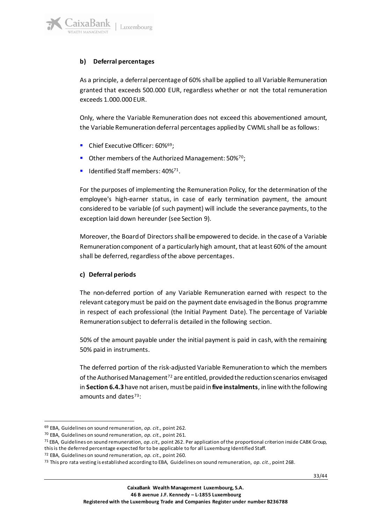

### **b) Deferral percentages**

As a principle, a deferral percentage of 60% shall be applied to all Variable Remuneration granted that exceeds 500.000 EUR, regardless whether or not the total remuneration exceeds 1.000.000 EUR.

Only, where the Variable Remuneration does not exceed this abovementioned amount, the Variable Remuneration deferral percentages applied by CWML shall be as follows:

- Chief Executive Officer: 60%<sup>69</sup>;
- Other members of the Authorized Management: 50%<sup>70</sup>;
- Identified Staff members: 40%<sup>71</sup>.

For the purposes of implementing the Remuneration Policy, for the determination of the employee's high-earner status, in case of early termination payment, the amount considered to be variable (of such payment) will include the severance payments, to the exception laid down hereunder (see Section 9).

Moreover, the Board of Directors shall be empowered to decide. in the case of a Variable Remuneration component of a particularly high amount, that at least 60% of the amount shall be deferred, regardless of the above percentages.

#### **c) Deferral periods**

The non-deferred portion of any Variable Remuneration earned with respect to the relevant category must be paid on the payment date envisaged in the Bonus programme in respect of each professional (the Initial Payment Date). The percentage of Variable Remuneration subject to deferral is detailed in the following section.

50% of the amount payable under the initial payment is paid in cash, with the remaining 50% paid in instruments.

The deferred portion of the risk-adjusted Variable Remuneration to which the members of the Authorised Management<sup>72</sup> are entitled, provided the reduction scenarios envisaged in **Section 6.4.3** have not arisen, must be paid in **five instalments**, in line with the following amounts and dates $73$ :

<sup>69</sup> EBA, Guidelines on sound remuneration, *op. cit.,* point 262.

<sup>70</sup> EBA, Guidelines on sound remuneration, *op. cit.,* point 261.

<sup>71</sup> EBA, Guidelines on sound remuneration, *op. cit.,* point 262. Per application of the proportional criterion inside CABK Group, this is the deferred percentage expected for to be applicable to for all Luxemburg Identified Staff.

<sup>72</sup> EBA, Guidelines on sound remuneration, *op. cit.,* point 260.

<sup>73</sup> This pro rata vesting is established according to EBA, Guidelines on sound remuneration, *op. cit.*, point 268.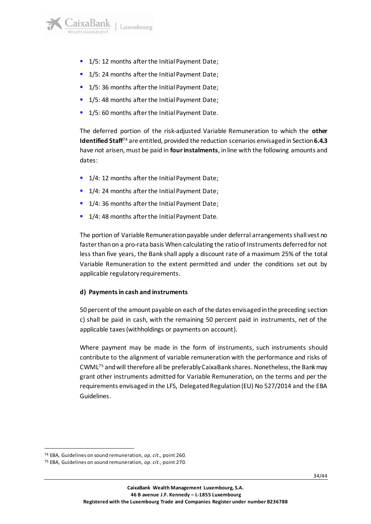

- 1/5: 12 months after the Initial Payment Date;
- 1/5: 24 months after the Initial Payment Date;
- 1/5: 36 months after the Initial Payment Date;
- 1/5:48 months after the Initial Payment Date;
- 1/5: 60 months after the Initial Payment Date.

The deferred portion of the risk-adjusted Variable Remuneration to which the **other Identified Staff**<sup>74</sup> are entitled, provided the reduction scenarios envisaged in Section**6.4.3** have not arisen, must be paid in **four instalments**, in line with the following amounts and dates:

- 1/4: 12 months after the Initial Payment Date;
- 1/4: 24 months after the Initial Payment Date;
- 1/4: 36 months after the Initial Payment Date;
- 1/4: 48 months after the Initial Payment Date.

The portion of Variable Remuneration payable under deferral arrangements shall vest no faster than on a pro-rata basis When calculating the ratio of Instruments deferred for not less than five years, the Bank shall apply a discount rate of a maximum 25% of the total Variable Remuneration to the extent permitted and under the conditions set out by applicable regulatory requirements.

#### **d) Payments in cash and instruments**

50 percent of the amount payable on each of the dates envisaged in the preceding section c) shall be paid in cash, with the remaining 50 percent paid in instruments, net of the applicable taxes (withholdings or payments on account).

Where payment may be made in the form of instruments, such instruments should contribute to the alignment of variable remuneration with the performance and risks of CWML<sup>75</sup> and will therefore all be preferably CaixaBank shares. Nonetheless, the Bank may grant other instruments admitted for Variable Remuneration, on the terms and per the requirements envisaged in the LFS, Delegated Regulation (EU) No 527/2014 and the EBA Guidelines.

<sup>74</sup> EBA, Guidelines on sound remuneration, *op. cit.,* point 260.

<sup>75</sup> EBA, Guidelines on sound remuneration, *op. cit.*, point 270.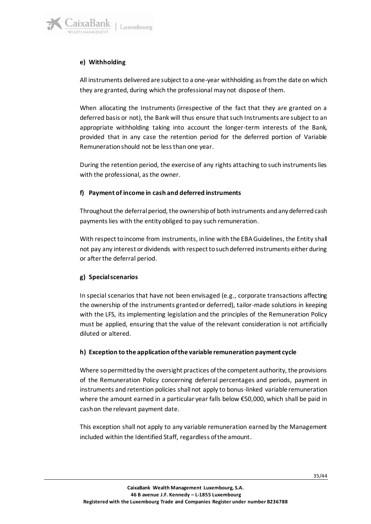

### **e) Withholding**

All instruments delivered are subject to a one-year withholding as from the date on which they are granted, during which the professional may not dispose of them.

When allocating the Instruments (irrespective of the fact that they are granted on a deferred basis or not), the Bank will thus ensure that such Instruments are subject to an appropriate withholding taking into account the longer-term interests of the Bank, provided that in any case the retention period for the deferred portion of Variable Remuneration should not be less than one year.

During the retention period, the exercise of any rights attaching to such instruments lies with the professional, as the owner.

### **f) Payment of income in cash and deferred instruments**

Throughout the deferral period, the ownership of both instruments and any deferred cash payments lies with the entity obliged to pay such remuneration.

With respect to income from instruments, in line with the EBA Guidelines, the Entity shall not pay any interest or dividends with respect to such deferred instruments either during or after the deferral period.

### **g) Special scenarios**

In special scenarios that have not been envisaged (e.g., corporate transactions affecting the ownership of the instruments granted or deferred), tailor-made solutions in keeping with the LFS, its implementing legislation and the principles of the Remuneration Policy must be applied, ensuring that the value of the relevant consideration is not artificially diluted or altered.

### **h) Exception to the application of the variable remuneration payment cycle**

Where so permitted by the oversight practices of the competent authority, the provisions of the Remuneration Policy concerning deferral percentages and periods, payment in instruments and retention policies shall not apply to bonus-linked variable remuneration where the amount earned in a particular year falls below €50,000, which shall be paid in cash on the relevant payment date.

This exception shall not apply to any variable remuneration earned by the Management included within the Identified Staff, regardless of the amount.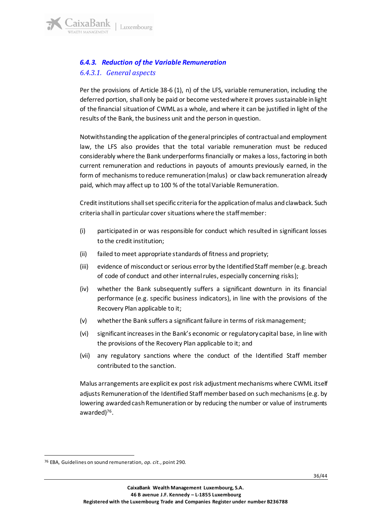### <span id="page-35-1"></span><span id="page-35-0"></span>*6.4.3. Reduction of the Variable Remuneration 6.4.3.1. General aspects*

Per the provisions of Article 38-6 (1), n) of the LFS, variable remuneration, including the deferred portion, shall only be paid or become vested where it proves sustainable in light of the financial situation of CWML as a whole, and where it can be justified in light of the results of the Bank, the business unit and the person in question.

Notwithstanding the application of the general principles of contractual and employment law, the LFS also provides that the total variable remuneration must be reduced considerably where the Bank underperforms financially or makes a loss, factoring in both current remuneration and reductions in payouts of amounts previously earned, in the form of mechanisms to reduce remuneration (malus) or claw back remuneration already paid, which may affect up to 100 % of the total Variable Remuneration.

Credit institutions shall set specific criteria for the application of malus and clawback. Such criteria shall in particular cover situations where the staff member:

- (i) participated in or was responsible for conduct which resulted in significant losses to the credit institution;
- (ii) failed to meet appropriate standards of fitness and propriety;
- (iii) evidence of misconduct or serious error by the Identified Staff member (e.g. breach of code of conduct and other internal rules, especially concerning risks);
- (iv) whether the Bank subsequently suffers a significant downturn in its financial performance (e.g. specific business indicators), in line with the provisions of the Recovery Plan applicable to it;
- (v) whether the Bank suffers a significant failure in terms of risk management;
- (vi) significant increases in the Bank's economic or regulatory capital base, in line with the provisions of the Recovery Plan applicable to it; and
- (vii) any regulatory sanctions where the conduct of the Identified Staff member contributed to the sanction.

Malus arrangements are explicit ex post risk adjustment mechanisms where CWML itself adjusts Remuneration of the Identified Staff member based on such mechanisms (e.g. by lowering awarded cash Remuneration or by reducing the number or value of instruments awarded) 76 .

<sup>76</sup> EBA, Guidelines on sound remuneration, *op. cit.*, point 290.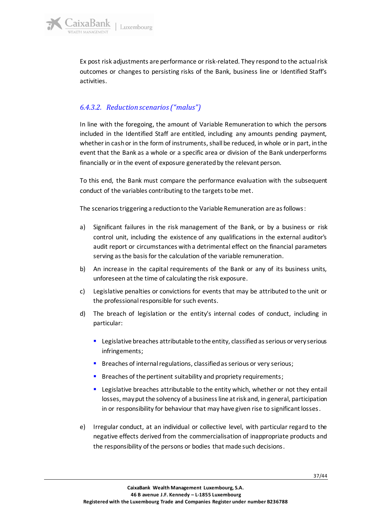Ex post risk adjustments are performance or risk-related. They respond to the actual risk outcomes or changes to persisting risks of the Bank, business line or Identified Staff's activities.

### <span id="page-36-0"></span>*6.4.3.2. Reduction scenarios("malus")*

In line with the foregoing, the amount of Variable Remuneration to which the persons included in the Identified Staff are entitled, including any amounts pending payment, whether in cash or in the form of instruments, shall be reduced, in whole or in part, in the event that the Bank as a whole or a specific area or division of the Bank underperforms financially or in the event of exposure generated by the relevant person.

To this end, the Bank must compare the performance evaluation with the subsequent conduct of the variables contributing to the targets to be met.

The scenarios triggering a reduction to the Variable Remuneration are as follows:

- a) Significant failures in the risk management of the Bank, or by a business or risk control unit, including the existence of any qualifications in the external auditor's audit report or circumstances with a detrimental effect on the financial parameters serving as the basis for the calculation of the variable remuneration.
- b) An increase in the capital requirements of the Bank or any of its business units, unforeseen at the time of calculating the risk exposure.
- c) Legislative penalties or convictions for events that may be attributed to the unit or the professional responsible for such events.
- d) The breach of legislation or the entity's internal codes of conduct, including in particular:
	- Legislative breaches attributable to the entity, classified as serious or very serious infringements;
	- Breaches of internal regulations, classified as serious or very serious;
	- Breaches of the pertinent suitability and propriety requirements;
	- **EXTER** Legislative breaches attributable to the entity which, whether or not they entail losses, may put the solvency of a business line at risk and, in general, participation in or responsibility for behaviour that may have given rise to significant losses.
- e) Irregular conduct, at an individual or collective level, with particular regard to the negative effects derived from the commercialisation of inappropriate products and the responsibility of the persons or bodies that made such decisions.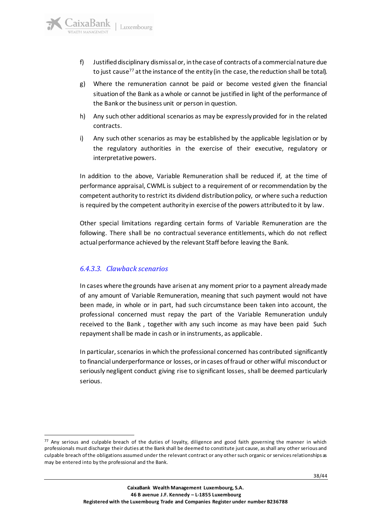- f) Justified disciplinary dismissal or, in the case of contracts of a commercial nature due to just cause<sup>77</sup> at the instance of the entity (in the case, the reduction shall be total).
- g) Where the remuneration cannot be paid or become vested given the financial situation of the Bank as a whole or cannot be justified in light of the performance of the Bank or the business unit or person in question.
- h) Any such other additional scenarios as may be expressly provided for in the related contracts.
- i) Any such other scenarios as may be established by the applicable legislation or by the regulatory authorities in the exercise of their executive, regulatory or interpretative powers.

In addition to the above, Variable Remuneration shall be reduced if, at the time of performance appraisal, CWML is subject to a requirement of or recommendation by the competent authority to restrict its dividend distribution policy, or where such a reduction is required by the competent authority in exercise of the powers attributed to it by law.

Other special limitations regarding certain forms of Variable Remuneration are the following. There shall be no contractual severance entitlements, which do not reflect actual performance achieved by the relevant Staff before leaving the Bank.

### <span id="page-37-0"></span>*6.4.3.3. Clawback scenarios*

In cases where the grounds have arisen at any moment prior to a payment already made of any amount of Variable Remuneration, meaning that such payment would not have been made, in whole or in part, had such circumstance been taken into account, the professional concerned must repay the part of the Variable Remuneration unduly received to the Bank , together with any such income as may have been paid Such repayment shall be made in cash or in instruments, as applicable.

In particular, scenarios in which the professional concerned has contributed significantly to financial underperformance or losses, or in cases of fraud or other wilful misconduct or seriously negligent conduct giving rise to significant losses, shall be deemed particularly serious.

 $77$  Any serious and culpable breach of the duties of loyalty, diligence and good faith governing the manner in which professionals must discharge their duties at the Bank shall be deemed to constitute just cause, as shall any other serious and culpable breach of the obligations assumed under the relevant contract or any other such organic or services relationships as may be entered into by the professional and the Bank.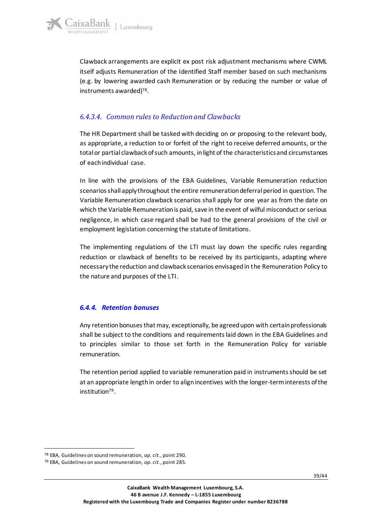

Clawback arrangements are explicit ex post risk adjustment mechanisms where CWML itself adjusts Remuneration of the Identified Staff member based on such mechanisms (e.g. by lowering awarded cash Remuneration or by reducing the number or value of instruments awarded) 78 .

### <span id="page-38-0"></span>*6.4.3.4. Common rules to Reduction and Clawbacks*

The HR Department shall be tasked with deciding on or proposing to the relevant body, as appropriate, a reduction to or forfeit of the right to receive deferred amounts, or the total or partial clawback of such amounts, in light of the characteristics and circumstances of each individual case.

In line with the provisions of the EBA Guidelines, Variable Remuneration reduction scenarios shall apply throughout the entire remuneration deferral period in question. The Variable Remuneration clawback scenarios shall apply for one year as from the date on which the Variable Remuneration is paid, save in the event of wilful misconduct or serious negligence, in which case regard shall be had to the general provisions of the civil or employment legislation concerning the statute of limitations.

The implementing regulations of the LTI must lay down the specific rules regarding reduction or clawback of benefits to be received by its participants, adapting where necessary the reduction and clawback scenarios envisaged in the Remuneration Policy to the nature and purposes of the LTI.

### <span id="page-38-1"></span>*6.4.4. Retention bonuses*

Any retention bonuses that may, exceptionally, be agreed upon with certain professionals shall be subject to the conditions and requirements laid down in the EBA Guidelines and to principles similar to those set forth in the Remuneration Policy for variable remuneration.

The retention period applied to variable remuneration paid in instruments should be set at an appropriate length in order to align incentives with the longer-term interests of the institution<sup>79</sup> .

<sup>78</sup> EBA, Guidelines on sound remuneration, *op. cit.*, point 290.

<sup>79</sup> EBA, Guidelines on sound remuneration, *op. cit.*, point 285.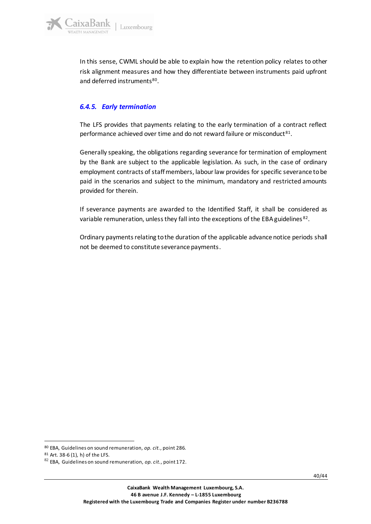

In this sense, CWML should be able to explain how the retention policy relates to other risk alignment measures and how they differentiate between instruments paid upfront and deferred instruments<sup>80</sup>.

### <span id="page-39-0"></span>*6.4.5. Early termination*

The LFS provides that payments relating to the early termination of a contract reflect performance achieved over time and do not reward failure or misconduct<sup>81</sup>.

Generally speaking, the obligations regarding severance for termination of employment by the Bank are subject to the applicable legislation. As such, in the case of ordinary employment contracts of staff members, labour law provides for specific severance to be paid in the scenarios and subject to the minimum, mandatory and restricted amounts provided for therein.

If severance payments are awarded to the Identified Staff, it shall be considered as variable remuneration, unless they fall into the exceptions of the EBA guidelines<sup>82</sup>.

Ordinary payments relating to the duration of the applicable advance notice periods shall not be deemed to constitute severance payments.

<sup>80</sup> EBA, Guidelines on sound remuneration, *op. cit.*, point 286.

<sup>81</sup> Art. 38-6 (1), h) of the LFS.

<sup>82</sup> EBA, Guidelines on sound remuneration, *op. cit.*, point 172.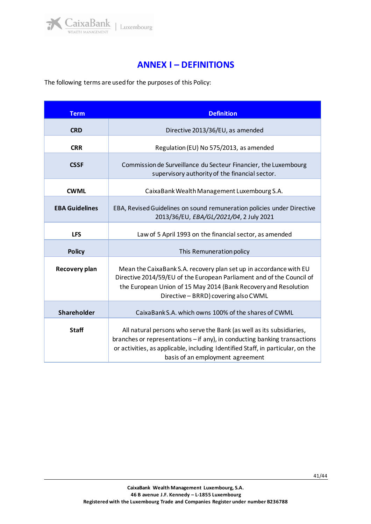

## **ANNEX I – DEFINITIONS**

<span id="page-40-0"></span>The following terms are used for the purposes of this Policy:

| <b>Term</b>           | <b>Definition</b>                                                                                                                                                                                                                                                        |  |  |
|-----------------------|--------------------------------------------------------------------------------------------------------------------------------------------------------------------------------------------------------------------------------------------------------------------------|--|--|
| <b>CRD</b>            | Directive 2013/36/EU, as amended                                                                                                                                                                                                                                         |  |  |
| <b>CRR</b>            | Regulation (EU) No 575/2013, as amended                                                                                                                                                                                                                                  |  |  |
| <b>CSSF</b>           | Commission de Surveillance du Secteur Financier, the Luxembourg<br>supervisory authority of the financial sector.                                                                                                                                                        |  |  |
| <b>CWML</b>           | CaixaBank Wealth Management Luxembourg S.A.                                                                                                                                                                                                                              |  |  |
| <b>EBA Guidelines</b> | EBA, Revised Guidelines on sound remuneration policies under Directive<br>2013/36/EU, EBA/GL/2021/04, 2 July 2021                                                                                                                                                        |  |  |
| <b>LFS</b>            | Law of 5 April 1993 on the financial sector, as amended                                                                                                                                                                                                                  |  |  |
| <b>Policy</b>         | This Remuneration policy                                                                                                                                                                                                                                                 |  |  |
| Recovery plan         | Mean the CaixaBank S.A. recovery plan set up in accordance with EU<br>Directive 2014/59/EU of the European Parliament and of the Council of<br>the European Union of 15 May 2014 (Bank Recovery and Resolution<br>Directive - BRRD) covering also CWML                   |  |  |
| Shareholder           | CaixaBank S.A. which owns 100% of the shares of CWML                                                                                                                                                                                                                     |  |  |
| <b>Staff</b>          | All natural persons who serve the Bank (as well as its subsidiaries,<br>branches or representations - if any), in conducting banking transactions<br>or activities, as applicable, including Identified Staff, in particular, on the<br>basis of an employment agreement |  |  |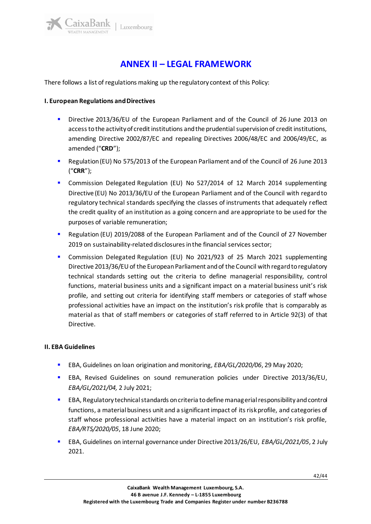## **ANNEX II – LEGAL FRAMEWORK**

<span id="page-41-0"></span>There follows a list of regulations making up the regulatory context of this Policy:

#### **I. European Regulations and Directives**

aixaBank

- Directive 2013/36/EU of the European Parliament and of the Council of 26 June 2013 on access to the activity of credit institutions and the prudential supervision of credit institutions, amending Directive 2002/87/EC and repealing Directives 2006/48/EC and 2006/49/EC, as amended ("**CRD**");
- Regulation (EU) No 575/2013 of the European Parliament and of the Council of 26 June 2013 ("**CRR**");
- Commission Delegated Regulation (EU) No 527/2014 of 12 March 2014 supplementing Directive (EU) No 2013/36/EU of the European Parliament and of the Council with regard to regulatory technical standards specifying the classes of instruments that adequately reflect the credit quality of an institution as a going concern and are appropriate to be used for the purposes of variable remuneration;
- Regulation (EU) 2019/2088 of the European Parliament and of the Council of 27 November 2019 on sustainability-related disclosures in the financial services sector;
- Commission Delegated Regulation (EU) No 2021/923 of 25 March 2021 supplementing Directive 2013/36/EU of the European Parliament and of the Council with regard to regulatory technical standards setting out the criteria to define managerial responsibility, control functions, material business units and a significant impact on a material business unit's risk profile, and setting out criteria for identifying staff members or categories of staff whose professional activities have an impact on the institution's risk profile that is comparably as material as that of staff members or categories of staff referred to in Article 92(3) of that Directive.

#### **II. EBA Guidelines**

- EBA, Guidelines on loan origination and monitoring, *EBA/GL/2020/06*, 29 May 2020;
- EBA, Revised Guidelines on sound remuneration policies under Directive 2013/36/EU, *EBA/GL/2021/04,* 2 July 2021;
- EBA, Regulatory technical standards on criteria to define managerial responsibility and control functions, a material business unit and a significant impact of its risk profile, and categories of staff whose professional activities have a material impact on an institution's risk profile, *EBA/RTS/2020/05*, 18 June 2020;
- EBA, Guidelines on internal governance under Directive 2013/26/EU, *EBA/GL/2021/05*, 2 July 2021.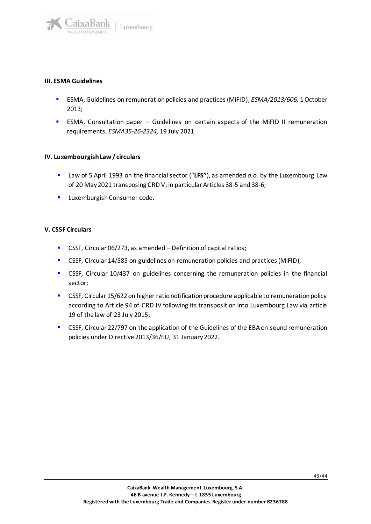

#### **III. ESMA Guidelines**

- ESMA, Guidelines on remuneration policies and practices (MiFID), *ESMA/2013/606,* 1 October 2013;
- ESMA, Consultation paper Guidelines on certain aspects of the MiFID II remuneration requirements, *ESMA35-26-2324,* 19 July 2021.

#### **IV. Luxembourgish Law/ circulars**

- Law of 5 April 1993 on the financial sector ("LFS"), as amended *a.o.* by the Luxembourg Law of 20 May 2021 transposing CRD V; in particular Articles 38-5 and 38-6;
- **■** Luxemburgish Consumer code.

#### **V. CSSF Circulars**

- CSSF, Circular 06/273, as amended Definition of capital ratios;
- CSSF, Circular 14/585 on guidelines on remuneration policies and practices (MiFID);
- **•** CSSF, Circular 10/437 on guidelines concerning the remuneration policies in the financial sector;
- CSSF, Circular 15/622 on higher ratio notification procedure applicable to remuneration policy according to Article 94 of CRD IV following its transposition into Luxembourg Law via article 19 of the law of 23 July 2015;
- **CSSF, Circular 22/797 on the application of the Guidelines of the EBA on sound remuneration** policies under Directive 2013/36/EU, 31 January 2022.